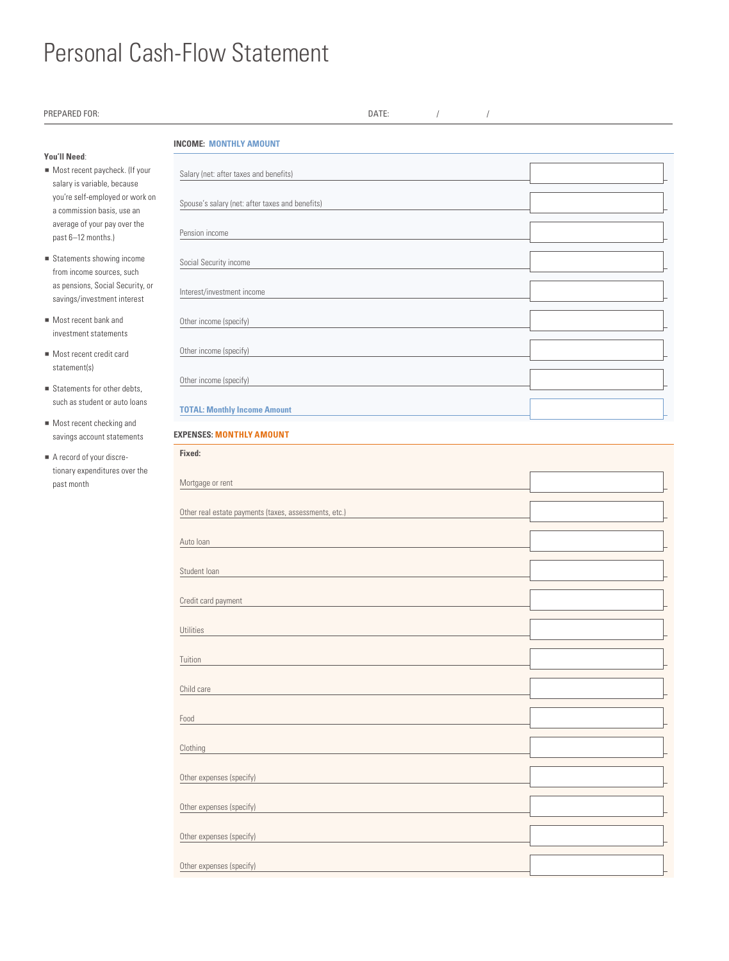## Personal Cash-Flow Statement

| PREPARED FOR:                                                                                                                            | DATE:                                                 |  |  |  |  |  |
|------------------------------------------------------------------------------------------------------------------------------------------|-------------------------------------------------------|--|--|--|--|--|
| You'll Need:                                                                                                                             | <b>INCOME: MONTHLY AMOUNT</b>                         |  |  |  |  |  |
| Most recent paycheck. (If your<br>salary is variable, because<br>you're self-employed or work on<br>a commission basis, use an           | Salary (net: after taxes and benefits)                |  |  |  |  |  |
|                                                                                                                                          | Spouse's salary (net: after taxes and benefits)       |  |  |  |  |  |
| average of your pay over the<br>past 6-12 months.)                                                                                       | Pension income                                        |  |  |  |  |  |
| $\blacksquare$ Statements showing income<br>from income sources, such<br>as pensions, Social Security, or<br>savings/investment interest | Social Security income                                |  |  |  |  |  |
|                                                                                                                                          | Interest/investment income                            |  |  |  |  |  |
| Most recent bank and<br>investment statements                                                                                            | Other income (specify)                                |  |  |  |  |  |
| Most recent credit card<br>statement(s)                                                                                                  | Other income (specify)                                |  |  |  |  |  |
| Statements for other debts,                                                                                                              | Other income (specify)                                |  |  |  |  |  |
| such as student or auto loans<br>Most recent checking and                                                                                | <b>TOTAL: Monthly Income Amount</b>                   |  |  |  |  |  |
| savings account statements                                                                                                               | <b>EXPENSES: MONTHLY AMOUNT</b><br>Fixed:             |  |  |  |  |  |
| A record of your discre-<br>tionary expenditures over the<br>past month                                                                  | Mortgage or rent                                      |  |  |  |  |  |
|                                                                                                                                          | Other real estate payments (taxes, assessments, etc.) |  |  |  |  |  |
|                                                                                                                                          | Auto Ioan                                             |  |  |  |  |  |
|                                                                                                                                          |                                                       |  |  |  |  |  |
|                                                                                                                                          | Student loan                                          |  |  |  |  |  |
|                                                                                                                                          | Credit card payment                                   |  |  |  |  |  |
|                                                                                                                                          | Utilities                                             |  |  |  |  |  |
|                                                                                                                                          | Tuition                                               |  |  |  |  |  |
|                                                                                                                                          | Child care                                            |  |  |  |  |  |
|                                                                                                                                          | Food                                                  |  |  |  |  |  |
|                                                                                                                                          | Clothing                                              |  |  |  |  |  |
|                                                                                                                                          | Other expenses (specify)                              |  |  |  |  |  |
|                                                                                                                                          | Other expenses (specify)                              |  |  |  |  |  |
|                                                                                                                                          | Other expenses (specify)                              |  |  |  |  |  |
|                                                                                                                                          | Other expenses (specify)                              |  |  |  |  |  |